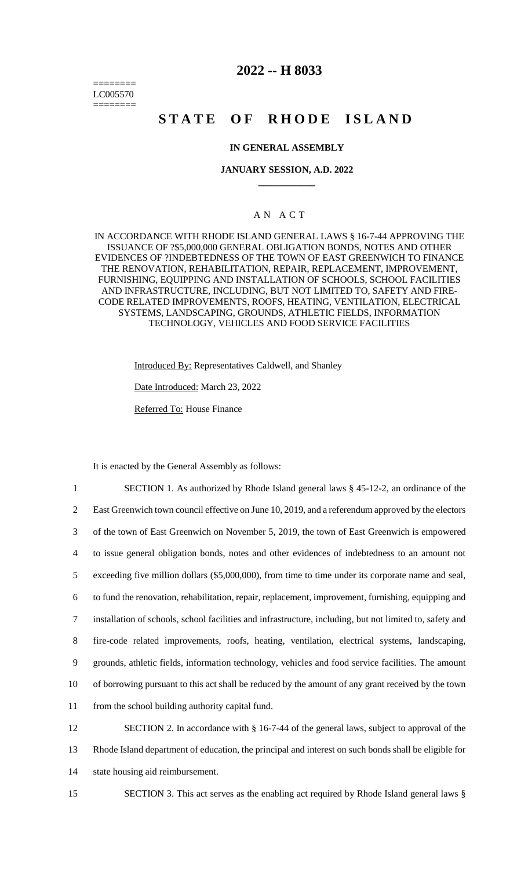======== LC005570 ========

## **2022 -- H 8033**

# **STATE OF RHODE ISLAND**

### **IN GENERAL ASSEMBLY**

#### **JANUARY SESSION, A.D. 2022 \_\_\_\_\_\_\_\_\_\_\_\_**

## A N A C T

IN ACCORDANCE WITH RHODE ISLAND GENERAL LAWS § 16-7-44 APPROVING THE ISSUANCE OF ?\$5,000,000 GENERAL OBLIGATION BONDS, NOTES AND OTHER EVIDENCES OF ?INDEBTEDNESS OF THE TOWN OF EAST GREENWICH TO FINANCE THE RENOVATION, REHABILITATION, REPAIR, REPLACEMENT, IMPROVEMENT, FURNISHING, EQUIPPING AND INSTALLATION OF SCHOOLS, SCHOOL FACILITIES AND INFRASTRUCTURE, INCLUDING, BUT NOT LIMITED TO, SAFETY AND FIRE-CODE RELATED IMPROVEMENTS, ROOFS, HEATING, VENTILATION, ELECTRICAL SYSTEMS, LANDSCAPING, GROUNDS, ATHLETIC FIELDS, INFORMATION TECHNOLOGY, VEHICLES AND FOOD SERVICE FACILITIES

Introduced By: Representatives Caldwell, and Shanley

Date Introduced: March 23, 2022

Referred To: House Finance

It is enacted by the General Assembly as follows:

 SECTION 1. As authorized by Rhode Island general laws § 45-12-2, an ordinance of the 2 East Greenwich town council effective on June 10, 2019, and a referendum approved by the electors of the town of East Greenwich on November 5, 2019, the town of East Greenwich is empowered to issue general obligation bonds, notes and other evidences of indebtedness to an amount not exceeding five million dollars (\$5,000,000), from time to time under its corporate name and seal, to fund the renovation, rehabilitation, repair, replacement, improvement, furnishing, equipping and installation of schools, school facilities and infrastructure, including, but not limited to, safety and fire-code related improvements, roofs, heating, ventilation, electrical systems, landscaping, grounds, athletic fields, information technology, vehicles and food service facilities. The amount of borrowing pursuant to this act shall be reduced by the amount of any grant received by the town from the school building authority capital fund. SECTION 2. In accordance with § 16-7-44 of the general laws, subject to approval of the

13 Rhode Island department of education, the principal and interest on such bonds shall be eligible for 14 state housing aid reimbursement.

15 SECTION 3. This act serves as the enabling act required by Rhode Island general laws §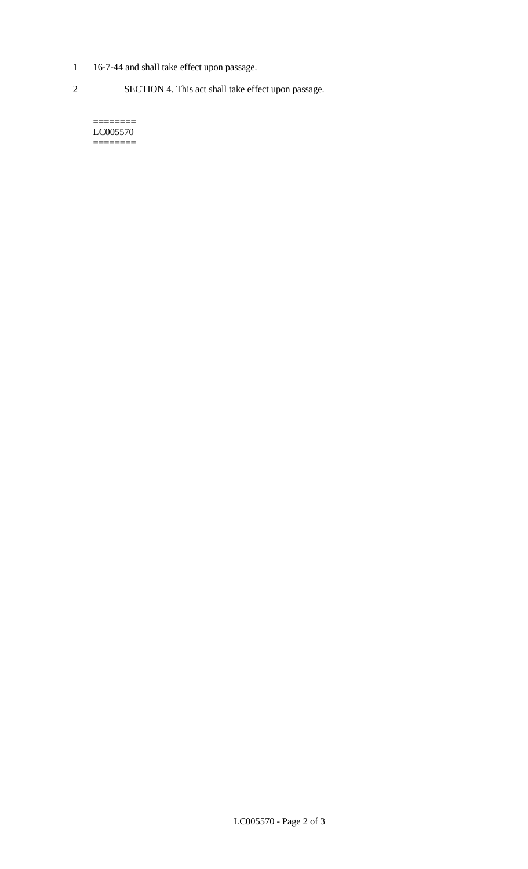- 1 16-7-44 and shall take effect upon passage.
- 2 SECTION 4. This act shall take effect upon passage.

======== LC005570 ========